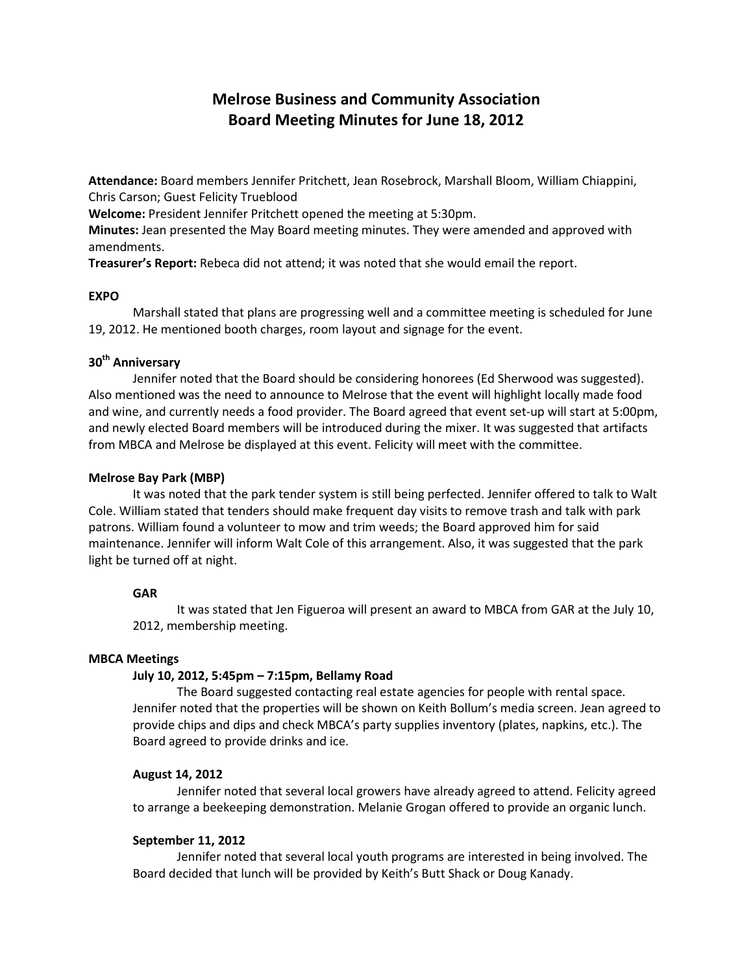# **Melrose Business and Community Association Board Meeting Minutes for June 18, 2012**

**Attendance:** Board members Jennifer Pritchett, Jean Rosebrock, Marshall Bloom, William Chiappini, Chris Carson; Guest Felicity Trueblood

**Welcome:** President Jennifer Pritchett opened the meeting at 5:30pm.

**Minutes:** Jean presented the May Board meeting minutes. They were amended and approved with amendments.

**Treasurer's Report:** Rebeca did not attend; it was noted that she would email the report.

## **EXPO**

Marshall stated that plans are progressing well and a committee meeting is scheduled for June 19, 2012. He mentioned booth charges, room layout and signage for the event.

## **30th Anniversary**

Jennifer noted that the Board should be considering honorees (Ed Sherwood was suggested). Also mentioned was the need to announce to Melrose that the event will highlight locally made food and wine, and currently needs a food provider. The Board agreed that event set-up will start at 5:00pm, and newly elected Board members will be introduced during the mixer. It was suggested that artifacts from MBCA and Melrose be displayed at this event. Felicity will meet with the committee.

#### **Melrose Bay Park (MBP)**

It was noted that the park tender system is still being perfected. Jennifer offered to talk to Walt Cole. William stated that tenders should make frequent day visits to remove trash and talk with park patrons. William found a volunteer to mow and trim weeds; the Board approved him for said maintenance. Jennifer will inform Walt Cole of this arrangement. Also, it was suggested that the park light be turned off at night.

#### **GAR**

It was stated that Jen Figueroa will present an award to MBCA from GAR at the July 10, 2012, membership meeting.

## **MBCA Meetings**

## **July 10, 2012, 5:45pm – 7:15pm, Bellamy Road**

The Board suggested contacting real estate agencies for people with rental space. Jennifer noted that the properties will be shown on Keith Bollum's media screen. Jean agreed to provide chips and dips and check MBCA's party supplies inventory (plates, napkins, etc.). The Board agreed to provide drinks and ice.

#### **August 14, 2012**

Jennifer noted that several local growers have already agreed to attend. Felicity agreed to arrange a beekeeping demonstration. Melanie Grogan offered to provide an organic lunch.

#### **September 11, 2012**

Jennifer noted that several local youth programs are interested in being involved. The Board decided that lunch will be provided by Keith's Butt Shack or Doug Kanady.